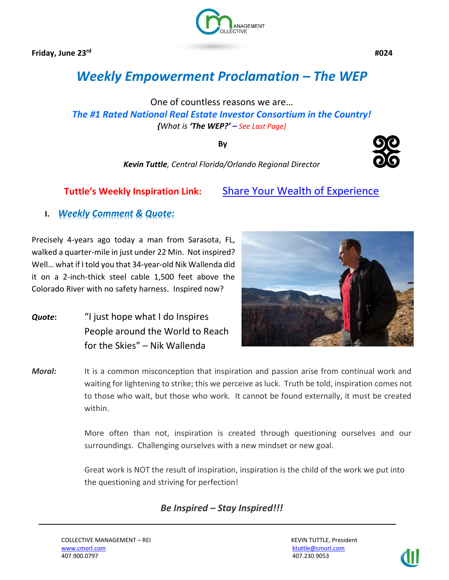**Friday, June 23rd**



 **#024**

# *Weekly Empowerment Proclamation – The WEP*

One of countless reasons we are… *The #1 Rated National Real Estate Investor Consortium in the Country! {What is 'The WEP?' – See Last Page}*

**By**

*Kevin Tuttle, Central Florida/Orlando Regional Director*

**Tuttle's Weekly Inspiration Link:** [Share Your Wealth of Experience](https://www.linkedin.com/pulse/share-your-wealth-experience-kevin-tuttle)

**I.** *Weekly Comment & Quote:*

Precisely 4-years ago today a man from Sarasota, FL, walked a quarter-mile in just under 22 Min. Not inspired? Well… what if I told you that 34-year-old Nik Wallenda did it on a 2-inch-thick steel cable 1,500 feet above the Colorado River with no safety harness. Inspired now?

*Quote***:** "I just hope what I do Inspires People around the World to Reach for the Skies" – Nik Wallenda



*Moral:* It is a common misconception that inspiration and passion arise from continual work and waiting for lightening to strike; this we perceive as luck. Truth be told, inspiration comes not to those who wait, but those who work. It cannot be found externally, it must be created within.

> More often than not, inspiration is created through questioning ourselves and our surroundings. Challenging ourselves with a new mindset or new goal.

Great work is NOT the result of inspiration, inspiration is the child of the work we put into the questioning and striving for perfection!

*Be Inspired – Stay Inspired!!!*

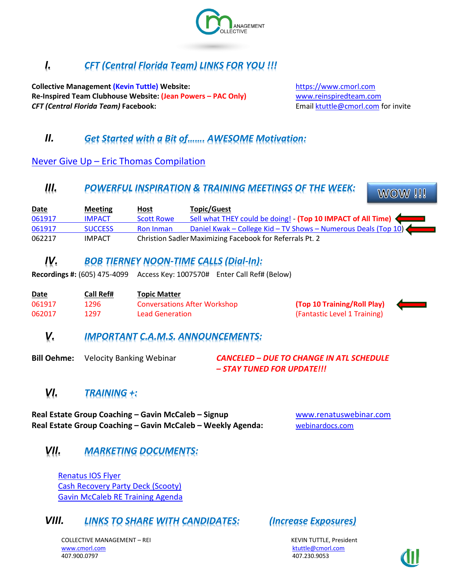

# *I. CFT (Central Florida Team) LINKS FOR YOU !!!*

**Collective Management (Kevin Tuttle) Website:** [https://www.cmorl.com](https://www.cmorl.com/) **Re-Inspired Team Clubhouse Website: (Jean Powers – PAC Only)** [www.reinspiredteam.com](http://www.reinspiredteam.com/) **CFT (Central Florida Team) Facebook: Email [ktuttle@cmorl.com](mailto:ktuttle@cmorl.com) for invite** 

# *II. Get Started with a Bit of……. AWESOME Motivation:*

Never Give Up – [Eric Thomas Compilation](https://www.youtube.com/watch?v=AFGWnqNf6t0)

### *III. POWERFUL INSPIRATION & TRAINING MEETINGS OF THE WEEK:*

**WOW!!!** 

| <u>Date</u> | <b>Meeting</b> | Host              | <b>Topic/Guest</b>                                             |
|-------------|----------------|-------------------|----------------------------------------------------------------|
| 061917      | <b>IMPACT</b>  | <b>Scott Rowe</b> | Sell what THEY could be doing! - (Top 10 IMPACT of All Time)   |
| 061917      | <b>SUCCESS</b> | <b>Ron Inman</b>  | Daniel Kwak - College Kid - TV Shows - Numerous Deals (Top 10) |
| 062217      | <b>IMPACT</b>  |                   | Christion Sadler Maximizing Facebook for Referrals Pt. 2       |

### *IV. BOB TIERNEY NOON-TIME CALLS (Dial-In):*

**Recordings #:** (605) 475-4099 Access Key: 1007570# Enter Call Ref# (Below)

| Date   | Call Ref# | <b>Topic Matter</b>                 |    |
|--------|-----------|-------------------------------------|----|
| 061917 | 1296      | <b>Conversations After Workshop</b> | (T |
| 062017 | 1297      | <b>Lead Generation</b>              | (F |



### *V. IMPORTANT C.A.M.S. ANNOUNCEMENTS:*

**Bill Oehme:** Velocity Banking Webinar *CANCELED – DUE TO CHANGE IN ATL SCHEDULE – STAY TUNED FOR UPDATE!!!*

## *VI. TRAINING +:*

**Real Estate Group Coaching – Gavin McCaleb – Signup** [www.renatuswebinar.com](http://www.renatuswebinar.com/) **Real Estate Group Coaching – Gavin McCaleb – Weekly Agenda:** [webinardocs.com](http://webinardocs.com/)

## *VII. MARKETING DOCUMENTS:*

[Renatus IOS Flyer](https://www.dropbox.com/s/3ahzkcphjk3mkou/RenatusIOSFlyer.pdf?dl=0) [Cash Recovery Party Deck \(Scooty\)](https://drive.google.com/file/d/0B1ttFL_DNQgZZXBOb0FOWTRseUk/view) [Gavin McCaleb RE Training Agenda](http://bit.ly/gavinsre)

### *VIII. LINKS TO SHARE WITH CANDIDATES: (Increase Exposures)*

COLLECTIVE MANAGEMENT – REI KEVIN TUTTLE, President [www.cmorl.com](http://www.cmorl.com/) [ktuttle@cmorl.com](mailto:ktuttle@cmorl.com) ktuttle@cmorl.com ktuttle@cmorl.com 407.900.0797 407.230.9053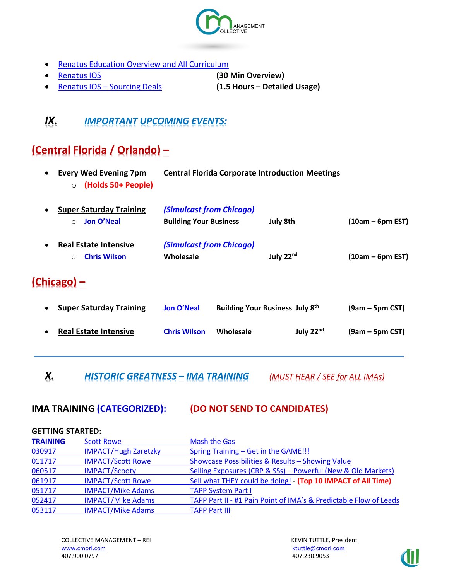

- [Renatus Education Overview and All Curriculum](http://www.myrenatus.com/)
- [Renatus IOS](http://www.iqinvestments.com/renatusios) **(30 Min Overview)**

• Renatus IOS – [Sourcing Deals](http://www.iqinvestments.com/renatusios/sourcing-deals-with-renatus-ios/) **(1.5 Hours – Detailed Usage)**

# *IX. IMPORTANT UPCOMING EVENTS:*

# **(Central Florida / Orlando) –**

| <b>Every Wed Evening 7pm</b><br>$\bullet$<br>(Holds 50+ People)<br>$\circ$  |                                                           | <b>Central Florida Corporate Introduction Meetings</b> |                 |                    |
|-----------------------------------------------------------------------------|-----------------------------------------------------------|--------------------------------------------------------|-----------------|--------------------|
| <b>Super Saturday Training</b><br>Jon O'Neal<br>$\circ$                     | (Simulcast from Chicago)<br><b>Building Your Business</b> |                                                        | <b>July 8th</b> | $(10am - 6pm EST)$ |
| <b>Real Estate Intensive</b><br>$\bullet$<br><b>Chris Wilson</b><br>$\circ$ | (Simulcast from Chicago)<br>Wholesale                     |                                                        | July 22nd       | $(10am - 6pm EST)$ |
| $(Chicago)$ –                                                               |                                                           |                                                        |                 |                    |
| <b>Super Saturday Training</b><br>$\bullet$                                 | <b>Jon O'Neal</b>                                         | <b>Building Your Business July 8th</b>                 |                 | $(9am - 5pm CST)$  |
| <b>Real Estate Intensive</b>                                                | <b>Chris Wilson</b>                                       | Wholesale                                              | July $22nd$     | $(9am - 5pm CST)$  |
|                                                                             |                                                           |                                                        |                 |                    |

*X. HISTORIC GREATNESS – IMA TRAINING (MUST HEAR / SEE for ALL IMAs)*

### **IMA TRAINING (CATEGORIZED): (DO NOT SEND TO CANDIDATES)**

### **GETTING STARTED:**

| <b>TRAINING</b> | <b>Scott Rowe</b>           | <b>Mash the Gas</b>                                               |
|-----------------|-----------------------------|-------------------------------------------------------------------|
| 030917          | <b>IMPACT/Hugh Zaretzky</b> | Spring Training – Get in the GAME!!!                              |
| 011717          | <b>IMPACT/Scott Rowe</b>    | Showcase Possibilities & Results - Showing Value                  |
| 060517          | <b>IMPACT/Scooty</b>        | Selling Exposures (CRP & SSs) - Powerful (New & Old Markets)      |
| 061917          | <b>IMPACT/Scott Rowe</b>    | Sell what THEY could be doing! - (Top 10 IMPACT of All Time)      |
| 051717          | <b>IMPACT/Mike Adams</b>    | <b>TAPP System Part I</b>                                         |
| 052417          | <b>IMPACT/Mike Adams</b>    | TAPP Part II - #1 Pain Point of IMA's & Predictable Flow of Leads |
| 053117          | <b>IMPACT/Mike Adams</b>    | <b>TAPP Part III</b>                                              |

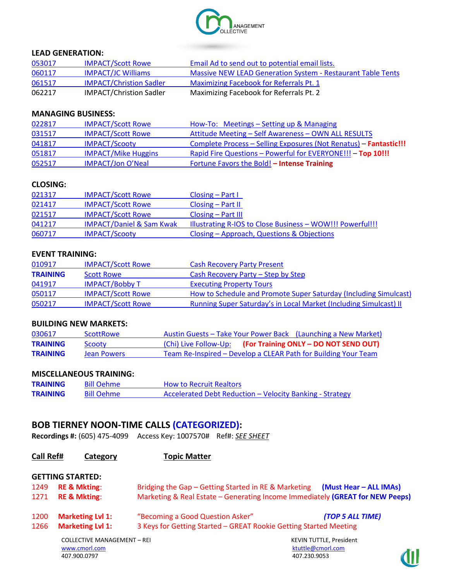

#### **LEAD GENERATION:**

| 053017 | <b>IMPACT/Scott Rowe</b>       | Email Ad to send out to potential email lists.              |
|--------|--------------------------------|-------------------------------------------------------------|
| 060117 | <b>IMPACT/JC Williams</b>      | Massive NEW LEAD Generation System - Restaurant Table Tents |
| 061517 | <b>IMPACT/Christion Sadler</b> | Maximizing Facebook for Referrals Pt. 1                     |
| 062217 | <b>IMPACT/Christion Sadler</b> | Maximizing Facebook for Referrals Pt. 2                     |

#### **MANAGING BUSINESS:**

| 022817 | <b>IMPACT/Scott Rowe</b>   | How-To: Meetings - Setting up & Managing                          |
|--------|----------------------------|-------------------------------------------------------------------|
| 031517 | <b>IMPACT/Scott Rowe</b>   | Attitude Meeting - Self Awareness - OWN ALL RESULTS               |
| 041817 | <b>IMPACT/Scooty</b>       | Complete Process - Selling Exposures (Not Renatus) - Fantastic!!! |
| 051817 | <b>IMPACT/Mike Huggins</b> | Rapid Fire Questions - Powerful for EVERYONE!!! - Top 10!!!       |
| 052517 | <b>IMPACT/Jon O'Neal</b>   | Fortune Favors the Bold! - Intense Training                       |

#### **CLOSING:**

| 021317 | <b>IMPACT/Scott Rowe</b>            | $Closing - Part I$                                        |
|--------|-------------------------------------|-----------------------------------------------------------|
| 021417 | <b>IMPACT/Scott Rowe</b>            | $\textsf{Closing} - \textsf{Part} \, \textsf{II}$         |
| 021517 | <b>IMPACT/Scott Rowe</b>            | $Closing - Part III$                                      |
| 041217 | <b>IMPACT/Daniel &amp; Sam Kwak</b> | Illustrating R-IOS to Close Business - WOW!!! Powerful!!! |
| 060717 | <b>IMPACT/Scooty</b>                | Closing – Approach, Questions & Objections                |

#### **EVENT TRAINING:**

| 010917          | <b>IMPACT/Scott Rowe</b> | <b>Cash Recovery Party Present</b>                                       |
|-----------------|--------------------------|--------------------------------------------------------------------------|
| <b>TRAINING</b> | <b>Scott Rowe</b>        | Cash Recovery Party – Step by Step                                       |
| 041917          | <b>IMPACT/Bobby T</b>    | <b>Executing Property Tours</b>                                          |
| 050117          | <b>IMPACT/Scott Rowe</b> | How to Schedule and Promote Super Saturday (Including Simulcast)         |
| 050217          | <b>IMPACT/Scott Rowe</b> | <b>Running Super Saturday's in Local Market (Including Simulcast) II</b> |

### **BUILDING NEW MARKETS:**

| 030617          | <b>ScottRowe</b> | Austin Guests – Take Your Power Back (Launching a New Market)  |
|-----------------|------------------|----------------------------------------------------------------|
| <b>TRAINING</b> | Scooty           | (Chi) Live Follow-Up: (For Training ONLY - DO NOT SEND OUT)    |
| <b>TRAINING</b> | Jean Powers      | Team Re-Inspired – Develop a CLEAR Path for Building Your Team |

#### **MISCELLANEOUS TRAINING:**

| <b>TRAINING</b> | <b>Bill Oehme</b> | <b>How to Recruit Realtors</b>                           |
|-----------------|-------------------|----------------------------------------------------------|
| <b>TRAINING</b> | <b>Bill Oehme</b> | Accelerated Debt Reduction - Velocity Banking - Strategy |

### **BOB TIERNEY NOON-TIME CALLS (CATEGORIZED):**

**Recordings #:** (605) 475-4099 Access Key: 1007570# Ref#: *SEE SHEET*

| Call Ref# | Category                           | <b>Topic Matter</b>                                                           |                                |  |
|-----------|------------------------------------|-------------------------------------------------------------------------------|--------------------------------|--|
|           | <b>GETTING STARTED:</b>            |                                                                               |                                |  |
| 1249      | <b>RE &amp; Mkting:</b>            | Bridging the Gap - Getting Started in RE & Marketing                          | (Must Hear - ALL IMAs)         |  |
| 1271      | <b>RE &amp; Mkting:</b>            | Marketing & Real Estate - Generating Income Immediately (GREAT for NEW Peeps) |                                |  |
| 1200      | <b>Marketing Lvl 1:</b>            | "Becoming a Good Question Asker"                                              | (TOP 5 ALL TIME)               |  |
| 1266      | <b>Marketing Lvl 1:</b>            | 3 Keys for Getting Started - GREAT Rookie Getting Started Meeting             |                                |  |
|           | <b>COLLECTIVE MANAGEMENT - REI</b> |                                                                               | <b>KEVIN TUTTLE, President</b> |  |
|           | www.cmorl.com                      |                                                                               | ktuttle@cmorl.com              |  |
|           | 407.900.0797                       |                                                                               | 407.230.9053                   |  |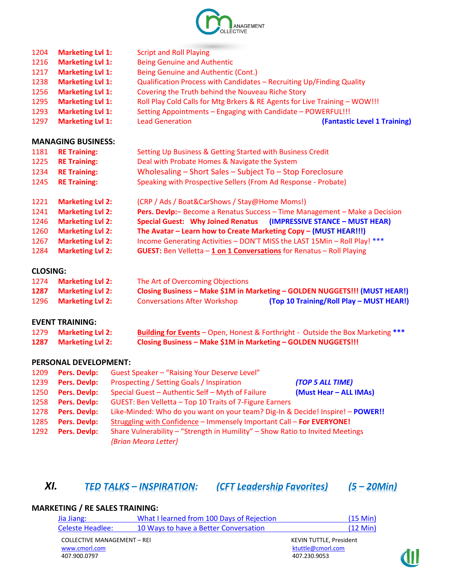

| <b>Marketing Lvl 1:</b> | <b>Script and Roll Playing</b>                                             |                              |
|-------------------------|----------------------------------------------------------------------------|------------------------------|
| <b>Marketing Lvl 1:</b> | <b>Being Genuine and Authentic</b>                                         |                              |
| <b>Marketing Lvl 1:</b> | Being Genuine and Authentic (Cont.)                                        |                              |
| <b>Marketing Lvl 1:</b> | Qualification Process with Candidates - Recruiting Up/Finding Quality      |                              |
| <b>Marketing Lvl 1:</b> | Covering the Truth behind the Nouveau Riche Story                          |                              |
| <b>Marketing Lvl 1:</b> | Roll Play Cold Calls for Mtg Brkers & RE Agents for Live Training - WOW!!! |                              |
| <b>Marketing Lvl 1:</b> | Setting Appointments - Engaging with Candidate - POWERFUL!!!               |                              |
| <b>Marketing Lvl 1:</b> | <b>Lead Generation</b>                                                     | (Fantastic Level 1 Training) |
|                         |                                                                            |                              |

### **MANAGING BUSINESS:**

| 1181                                                                                          | <b>RE Training:</b>     | Setting Up Business & Getting Started with Business Credit                      |  |  |
|-----------------------------------------------------------------------------------------------|-------------------------|---------------------------------------------------------------------------------|--|--|
| 1225                                                                                          | <b>RE Training:</b>     | Deal with Probate Homes & Navigate the System                                   |  |  |
| 1234                                                                                          | <b>RE Training:</b>     | Wholesaling - Short Sales - Subject To - Stop Foreclosure                       |  |  |
| Speaking with Prospective Sellers (From Ad Response - Probate)<br><b>RE Training:</b><br>1245 |                         |                                                                                 |  |  |
| 1221                                                                                          | <b>Marketing Lvl 2:</b> | (CRP / Ads / Boat&CarShows / Stay@Home Moms!)                                   |  |  |
| 1241                                                                                          | <b>Marketing Lvl 2:</b> | Pers. Devlp: – Become a Renatus Success – Time Management – Make a Decision     |  |  |
| 1246                                                                                          | <b>Marketing Lvl 2:</b> | Special Guest: Why Joined Renatus (IMPRESSIVE STANCE - MUST HEAR)               |  |  |
| 1260                                                                                          | <b>Marketing Lvl 2:</b> | The Avatar - Learn how to Create Marketing Copy - (MUST HEAR!!!)                |  |  |
| 1267                                                                                          | <b>Marketing Lvl 2:</b> | Income Generating Activities - DON'T MISS the LAST 15Min - Roll Play! ***       |  |  |
| 1284                                                                                          | <b>Marketing Lvl 2:</b> | <b>GUEST:</b> Ben Velletta $-1$ on 1 Conversations for Renatus $-$ Roll Playing |  |  |

### **CLOSING:**

|      | 1274 Marketing Lvl 2:   | The Art of Overcoming Objections    |                                                                            |  |
|------|-------------------------|-------------------------------------|----------------------------------------------------------------------------|--|
| 1287 | <b>Marketing Lvl 2:</b> |                                     | Closing Business - Make \$1M in Marketing - GOLDEN NUGGETS!!! (MUST HEAR!) |  |
|      | 1296 Marketing Lvl 2:   | <b>Conversations After Workshop</b> | (Top 10 Training/Roll Play - MUST HEAR!)                                   |  |

### **EVENT TRAINING:**

| 1279 Marketing Lvl 2: | <b>Building for Events</b> - Open, Honest & Forthright - Outside the Box Marketing *** |
|-----------------------|----------------------------------------------------------------------------------------|
| 1287 Marketing Lvl 2: | Closing Business - Make \$1M in Marketing - GOLDEN NUGGETS!!!                          |

#### **PERSONAL DEVELOPMENT:**

| 1209 | <b>Pers. Devlp:</b> | Guest Speaker - "Raising Your Deserve Level"                                   |                  |  |  |
|------|---------------------|--------------------------------------------------------------------------------|------------------|--|--|
| 1239 | <b>Pers. Devlp:</b> | Prospecting / Setting Goals / Inspiration                                      | (TOP 5 ALL TIME) |  |  |
| 1250 | <b>Pers. Devlp:</b> | (Must Hear - ALL IMAs)<br>Special Guest - Authentic Self - Myth of Failure     |                  |  |  |
| 1258 | <b>Pers. Devlp:</b> | GUEST: Ben Velletta - Top 10 Traits of 7-Figure Earners                        |                  |  |  |
| 1278 | <b>Pers. Devlp:</b> | Like-Minded: Who do you want on your team? Dig-In & Decide! Inspire! - POWER!! |                  |  |  |
| 1285 | Pers. Devlp:        | Struggling with Confidence - Immensely Important Call - For EVERYONE!          |                  |  |  |
| 1292 | <b>Pers. Devlp:</b> | Share Vulnerability - "Strength in Humility" - Show Ratio to Invited Meetings  |                  |  |  |
|      |                     | {Brian Meara Letter}                                                           |                  |  |  |

# *XI. TED TALKS – INSPIRATION: (CFT Leadership Favorites) (5 – 20Min)*

### **MARKETING / RE SALES TRAINING:**

| Jia Jiang:                         | What I learned from 100 Days of Rejection | $(15 \text{ Min})$             |
|------------------------------------|-------------------------------------------|--------------------------------|
| Celeste Headlee:                   | 10 Ways to have a Better Conversation     | $(12 \text{ Min})$             |
| <b>COLLECTIVE MANAGEMENT - REI</b> |                                           | <b>KEVIN TUTTLE, President</b> |
| www.cmorl.com                      |                                           | ktuttle@cmorl.com              |
| 407.900.0797                       |                                           | 407.230.9053                   |

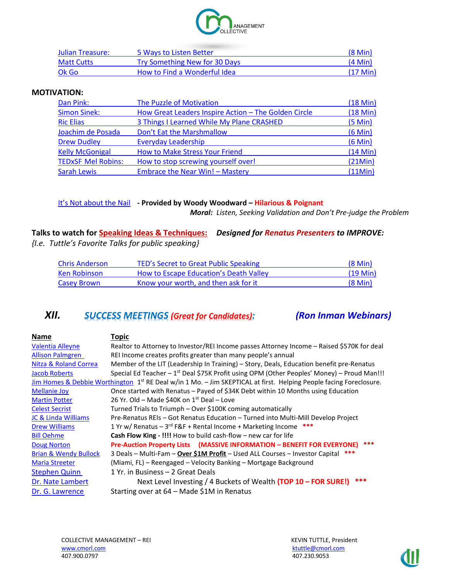

| Julian Treasure:  | 5 Ways to Listen Better       | $(8 \text{ Min})$  |
|-------------------|-------------------------------|--------------------|
| <b>Matt Cutts</b> | Try Something New for 30 Days | $(4$ Min $)$       |
| Ok Go             | How to Find a Wonderful Idea  | $(17 \text{ Min})$ |

#### **MOTIVATION:**

| Dan Pink:                 | <b>The Puzzle of Motivation</b>                      |               |
|---------------------------|------------------------------------------------------|---------------|
| <b>Simon Sinek:</b>       | How Great Leaders Inspire Action - The Golden Circle | $(18$ Min $)$ |
| <b>Ric Elias</b>          | 3 Things I Learned While My Plane CRASHED            | (5 Min)       |
| Joachim de Posada         | Don't Eat the Marshmallow                            | $(6$ Min $)$  |
| <b>Drew Dudley</b>        | <b>Everyday Leadership</b>                           | $(6$ Min $)$  |
| <b>Kelly McGonigal</b>    | How to Make Stress Your Friend                       | $(14$ Min $)$ |
| <b>TEDxSF Mel Robins:</b> | How to stop screwing yourself over!                  | (21Min)       |
| <b>Sarah Lewis</b>        | Embrace the Near Win! - Mastery                      | (11Min)       |

#### It's No[t about the Nail](https://www.youtube.com/watch?v=-4EDhdAHrOg) **- Provided by Woody Woodward – Hilarious & Poignant**

*Moral: Listen, Seeking Validation and Don't Pre-judge the Problem*

**Talks to watch for Speaking Ideas & Techniques:** *Designed for Renatus Presenters to IMPROVE: {I.e. Tuttle's Favorite Talks for public speaking}*

| <b>Chris Anderson</b> | TED's Secret to Great Public Speaking  | $(8 \text{ Min})$  |
|-----------------------|----------------------------------------|--------------------|
| Ken Robinson          | How to Escape Education's Death Valley | $(19 \text{ Min})$ |
| <b>Casey Brown</b>    | Know your worth, and then ask for it   | $(8 \text{ Min})$  |

### *XII. SUCCESS MEETINGS (Great for Candidates): (Ron Inman Webinars)*

**Name Topic** [Valentia Alleyne](http://bdg.adobeconnect.com/p3uo3soq91y/) Realtor to Attorney to Investor/REI Income passes Attorney Income – Raised \$570K for deal [Allison Palmgren](http://bdg.adobeconnect.com/p9aovye0o4e/) REI Income creates profits greater than many people's annual [Nitza & Roland Correa](http://bdg.adobeconnect.com/p9diykxvvzd/) Member of the LIT (Leadership In Training) – Story, Deals, Education benefit pre-Renatus [Jacob Roberts](http://bdg.adobeconnect.com/p1wheklt3c1/) Special Ed Teacher – 1<sup>st</sup> Deal \$75K Profit using OPM (Other Peoples' Money) – Proud Man!!! [Jim Homes & Debbie Worthington](http://bdg.adobeconnect.com/p9s250d4cfk/) 1<sup>st</sup> RE Deal w/in 1 Mo. - Jim SKEPTICAL at first. Helping People facing Foreclosure. [Mellanie Joy](http://bdg.adobeconnect.com/p1p1dywl1b1/) Once started with Renatus – Payed of \$34K Debt within 10 Months using Education [Martin Potter](http://bdg.adobeconnect.com/p31ydph4v02/) 26 Yr. Old – Made \$40K on  $1<sup>st</sup>$  Deal – Love [Celest Secrist](http://bdg.adobeconnect.com/p1zo6pb3dlz/) Turned Trials to Triumph – Over \$100K coming automatically [JC & Linda Williams](http://bdg.adobeconnect.com/p3oaatqjil2/) Pre-Renatus REIs – Got Renatus Education – Turned into Multi-Mill Develop Project [Drew Williams](http://bdg.adobeconnect.com/p7hgwnsv6jk/) **1 Yr w/ Renatus – 3<sup>rd</sup> F&F + Rental Income + Marketing Income \*\*\*** [Bill Oehme](http://bdg.adobeconnect.com/p776vi7uqn2/) **Cash Flow King - !!!!** How to build cash-flow – new car for life [Doug Norton](http://bdg.adobeconnect.com/p9ngcuwuhg3/) **Pre-Auction Property Lists (MASSIVE INFORMATION – BENEFIT FOR EVERYONE) \*\*\*** [Brian & Wendy Bullock](http://bdg.adobeconnect.com/p2ztz1g9vaz) 3 Deals – Multi-Fam – **Over \$1M Profit** – Used ALL Courses – Investor Capital **\*\*\*** [Maria Streeter](http://bdg.adobeconnect.com/p2vxm6tu1jy/) (Miami, FL) – Reengaged – Velocity Banking – Mortgage Background [Stephen Quinn](http://bdg.adobeconnect.com/p1mwzc8fik7/) 1 Yr. in Business – 2 Great Deals [Dr. Nate Lambert](http://bdg.adobeconnect.com/p1gw1se1fg1/) Next Level Investing / 4 Buckets of Wealth **(TOP 10 – FOR SURE!) \*\*\*** [Dr. G. Lawrence](http://bdg.adobeconnect.com/pm6jt7hpgduz/) Starting over at 64 – Made \$1M in Renatus

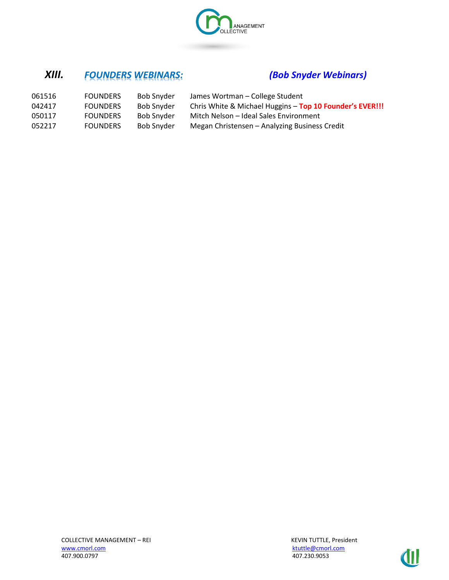

# *XIII. FOUNDERS WEBINARS: (Bob Snyder Webinars)*

| 061516 | <b>FOUNDERS</b> | Bob Snyder        | James Wortman – College Student                          |
|--------|-----------------|-------------------|----------------------------------------------------------|
| 042417 | <b>FOUNDERS</b> | <b>Bob Snyder</b> | Chris White & Michael Huggins - Top 10 Founder's EVER!!! |
| 050117 | <b>FOUNDERS</b> | <b>Bob Snyder</b> | Mitch Nelson - Ideal Sales Environment                   |
| 052217 | <b>FOUNDERS</b> | <b>Bob Snyder</b> | Megan Christensen - Analyzing Business Credit            |